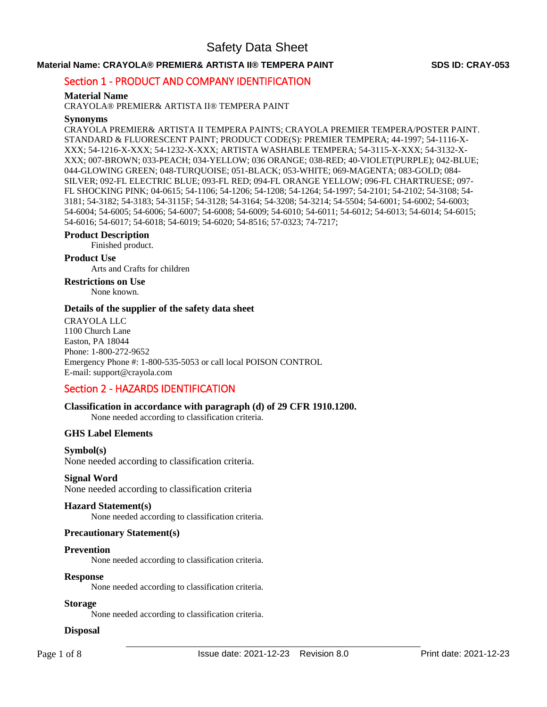### **Material Name: CRAYOLA® PREMIER& ARTISTA II® TEMPERA PAINT SDS ID: CRAY-053**

### Section 1 - PRODUCT AND COMPANY IDENTIFICATION

### **Material Name**

CRAYOLA® PREMIER& ARTISTA II® TEMPERA PAINT

### **Synonyms**

CRAYOLA PREMIER& ARTISTA II TEMPERA PAINTS; CRAYOLA PREMIER TEMPERA/POSTER PAINT. STANDARD & FLUORESCENT PAINT; PRODUCT CODE(S): PREMIER TEMPERA; 44-1997; 54-1116-X-XXX; 54-1216-X-XXX; 54-1232-X-XXX; ARTISTA WASHABLE TEMPERA; 54-3115-X-XXX; 54-3132-X-XXX; 007-BROWN; 033-PEACH; 034-YELLOW; 036 ORANGE; 038-RED; 40-VIOLET(PURPLE); 042-BLUE; 044-GLOWING GREEN; 048-TURQUOISE; 051-BLACK; 053-WHITE; 069-MAGENTA; 083-GOLD; 084- SILVER; 092-FL ELECTRIC BLUE; 093-FL RED; 094-FL ORANGE YELLOW; 096-FL CHARTRUESE; 097- FL SHOCKING PINK; 04-0615; 54-1106; 54-1206; 54-1208; 54-1264; 54-1997; 54-2101; 54-2102; 54-3108; 54- 3181; 54-3182; 54-3183; 54-3115F; 54-3128; 54-3164; 54-3208; 54-3214; 54-5504; 54-6001; 54-6002; 54-6003; 54-6004; 54-6005; 54-6006; 54-6007; 54-6008; 54-6009; 54-6010; 54-6011; 54-6012; 54-6013; 54-6014; 54-6015; 54-6016; 54-6017; 54-6018; 54-6019; 54-6020; 54-8516; 57-0323; 74-7217;

#### **Product Description**

Finished product.

### **Product Use**

Arts and Crafts for children

### **Restrictions on Use**

None known.

### **Details of the supplier of the safety data sheet**

CRAYOLA LLC 1100 Church Lane Easton, PA 18044 Phone: 1-800-272-9652 Emergency Phone #: 1-800-535-5053 or call local POISON CONTROL E-mail: support@crayola.com

### Section 2 - HAZARDS IDENTIFICATION

### **Classification in accordance with paragraph (d) of 29 CFR 1910.1200.**

None needed according to classification criteria.

### **GHS Label Elements**

#### **Symbol(s)**

None needed according to classification criteria.

#### **Signal Word**

None needed according to classification criteria

#### **Hazard Statement(s)**

None needed according to classification criteria.

### **Precautionary Statement(s)**

#### **Prevention**

None needed according to classification criteria.

### **Response**

None needed according to classification criteria.

### **Storage**

None needed according to classification criteria.

### **Disposal**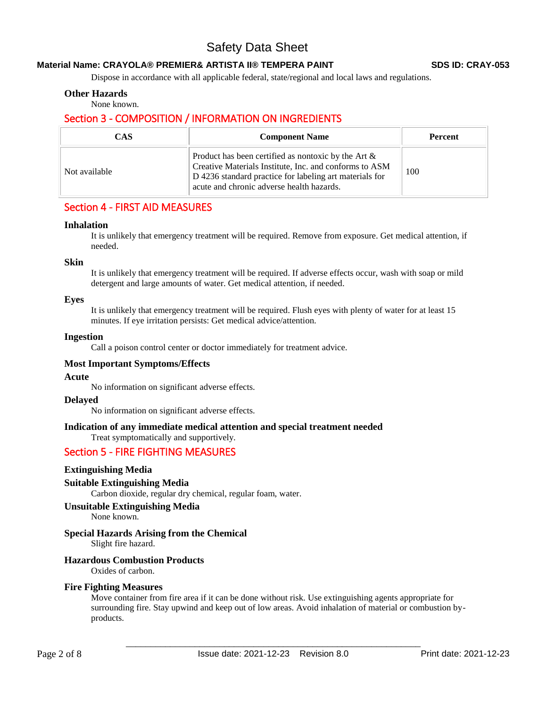### **Material Name: CRAYOLA® PREMIER& ARTISTA II® TEMPERA PAINT SDS ID: CRAY-053**

Dispose in accordance with all applicable federal, state/regional and local laws and regulations.

### **Other Hazards**

None known.

### Section 3 - COMPOSITION / INFORMATION ON INGREDIENTS

| <b>CAS</b>    | <b>Component Name</b>                                                                                                                                                                                                    | <b>Percent</b> |
|---------------|--------------------------------------------------------------------------------------------------------------------------------------------------------------------------------------------------------------------------|----------------|
| Not available | Product has been certified as nontoxic by the Art $\&$<br>Creative Materials Institute, Inc. and conforms to ASM<br>D 4236 standard practice for labeling art materials for<br>acute and chronic adverse health hazards. | 100            |

### Section 4 - FIRST AID MEASURES

#### **Inhalation**

It is unlikely that emergency treatment will be required. Remove from exposure. Get medical attention, if needed.

#### **Skin**

It is unlikely that emergency treatment will be required. If adverse effects occur, wash with soap or mild detergent and large amounts of water. Get medical attention, if needed.

### **Eyes**

It is unlikely that emergency treatment will be required. Flush eyes with plenty of water for at least 15 minutes. If eye irritation persists: Get medical advice/attention.

### **Ingestion**

Call a poison control center or doctor immediately for treatment advice.

### **Most Important Symptoms/Effects**

#### **Acute**

No information on significant adverse effects.

#### **Delayed**

No information on significant adverse effects.

### **Indication of any immediate medical attention and special treatment needed**

Treat symptomatically and supportively.

### Section 5 - FIRE FIGHTING MEASURES

### **Extinguishing Media**

### **Suitable Extinguishing Media**

Carbon dioxide, regular dry chemical, regular foam, water.

### **Unsuitable Extinguishing Media**

None known.

### **Special Hazards Arising from the Chemical**

Slight fire hazard.

### **Hazardous Combustion Products**

Oxides of carbon.

### **Fire Fighting Measures**

Move container from fire area if it can be done without risk. Use extinguishing agents appropriate for surrounding fire. Stay upwind and keep out of low areas. Avoid inhalation of material or combustion byproducts.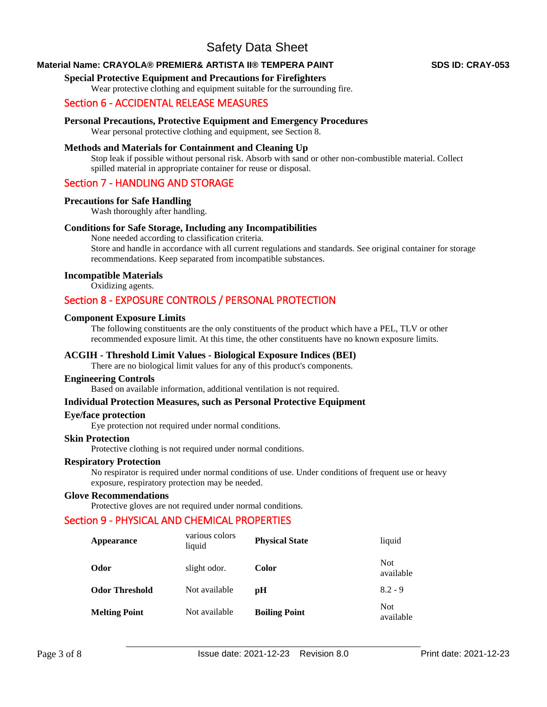### **Material Name: CRAYOLA® PREMIER& ARTISTA II® TEMPERA PAINT SDS ID: CRAY-053**

### **Special Protective Equipment and Precautions for Firefighters**

Wear protective clothing and equipment suitable for the surrounding fire.

### Section 6 - ACCIDENTAL RELEASE MEASURES

### **Personal Precautions, Protective Equipment and Emergency Procedures**

Wear personal protective clothing and equipment, see Section 8.

### **Methods and Materials for Containment and Cleaning Up**

Stop leak if possible without personal risk. Absorb with sand or other non-combustible material. Collect spilled material in appropriate container for reuse or disposal.

### Section 7 - HANDLING AND STORAGE

#### **Precautions for Safe Handling**

Wash thoroughly after handling.

### **Conditions for Safe Storage, Including any Incompatibilities**

None needed according to classification criteria. Store and handle in accordance with all current regulations and standards. See original container for storage recommendations. Keep separated from incompatible substances.

### **Incompatible Materials**

Oxidizing agents.

### Section 8 - EXPOSURE CONTROLS / PERSONAL PROTECTION

### **Component Exposure Limits**

The following constituents are the only constituents of the product which have a PEL, TLV or other recommended exposure limit. At this time, the other constituents have no known exposure limits.

### **ACGIH - Threshold Limit Values - Biological Exposure Indices (BEI)**

There are no biological limit values for any of this product's components.

### **Engineering Controls**

Based on available information, additional ventilation is not required.

#### **Individual Protection Measures, such as Personal Protective Equipment**

#### **Eye/face protection**

Eye protection not required under normal conditions.

#### **Skin Protection**  Protective clothing is not required under normal conditions.

### **Respiratory Protection**

No respirator is required under normal conditions of use. Under conditions of frequent use or heavy exposure, respiratory protection may be needed.

### **Glove Recommendations**

Protective gloves are not required under normal conditions.

### Section 9 - PHYSICAL AND CHEMICAL PROPERTIES

| Appearance            | various colors<br>liquid | <b>Physical State</b> | liquid                  |
|-----------------------|--------------------------|-----------------------|-------------------------|
| Odor                  | slight odor.             | Color                 | <b>Not</b><br>available |
| <b>Odor Threshold</b> | Not available            | рH                    | $8.2 - 9$               |
| <b>Melting Point</b>  | Not available            | <b>Boiling Point</b>  | Not.<br>available       |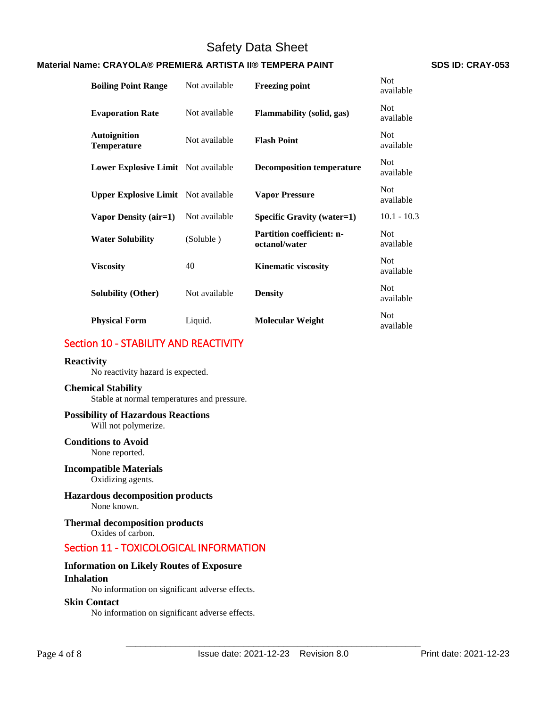### **Material Name: CRAYOLA® PREMIER& ARTISTA II® TEMPERA PAINT SDS ID: CRAY-053**

| <b>Boiling Point Range</b>                 | Not available | <b>Freezing point</b>                             | <b>Not</b><br>available |
|--------------------------------------------|---------------|---------------------------------------------------|-------------------------|
| <b>Evaporation Rate</b>                    | Not available | Flammability (solid, gas)                         | Not.<br>available       |
| <b>Autoignition</b><br><b>Temperature</b>  | Not available | <b>Flash Point</b>                                | <b>Not</b><br>available |
| <b>Lower Explosive Limit</b> Not available |               | <b>Decomposition temperature</b>                  | <b>Not</b><br>available |
| <b>Upper Explosive Limit</b> Not available |               | <b>Vapor Pressure</b>                             | <b>Not</b><br>available |
| Vapor Density (air=1)                      | Not available | <b>Specific Gravity (water=1)</b>                 | $10.1 - 10.3$           |
| <b>Water Solubility</b>                    | (Soluble)     | <b>Partition coefficient: n-</b><br>octanol/water | <b>Not</b><br>available |
| <b>Viscosity</b>                           | 40            | <b>Kinematic viscosity</b>                        | <b>Not</b><br>available |
| <b>Solubility (Other)</b>                  | Not available | <b>Density</b>                                    | <b>Not</b><br>available |
| <b>Physical Form</b>                       | Liquid.       | Molecular Weight                                  | <b>Not</b><br>available |

### Section 10 - STABILITY AND REACTIVITY

### **Reactivity**

No reactivity hazard is expected.

#### **Chemical Stability**

Stable at normal temperatures and pressure.

### **Possibility of Hazardous Reactions**

Will not polymerize.

### **Conditions to Avoid** None reported.

### **Incompatible Materials**

Oxidizing agents.

## **Hazardous decomposition products**

None known.

#### **Thermal decomposition products**  Oxides of carbon.

## Section 11 - TOXICOLOGICAL INFORMATION

### **Information on Likely Routes of Exposure**

#### **Inhalation**

No information on significant adverse effects.

### **Skin Contact**

No information on significant adverse effects.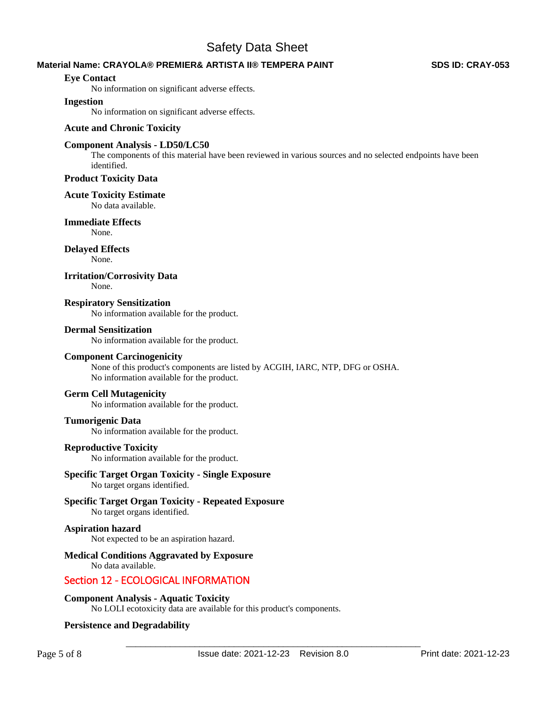### **Material Name: CRAYOLA® PREMIER& ARTISTA II® TEMPERA PAINT SDS ID: CRAY-053**

### **Eye Contact**

No information on significant adverse effects.

### **Ingestion**

No information on significant adverse effects.

### **Acute and Chronic Toxicity**

### **Component Analysis - LD50/LC50**

The components of this material have been reviewed in various sources and no selected endpoints have been identified.

### **Product Toxicity Data**

#### **Acute Toxicity Estimate**

No data available.

### **Immediate Effects**

None.

# **Delayed Effects**

None.

### **Irritation/Corrosivity Data**

None.

### **Respiratory Sensitization**

No information available for the product.

### **Dermal Sensitization**

No information available for the product.

### **Component Carcinogenicity**

None of this product's components are listed by ACGIH, IARC, NTP, DFG or OSHA. No information available for the product.

### **Germ Cell Mutagenicity**

No information available for the product.

### **Tumorigenic Data**

No information available for the product.

#### **Reproductive Toxicity**

No information available for the product.

### **Specific Target Organ Toxicity - Single Exposure**

No target organs identified.

### **Specific Target Organ Toxicity - Repeated Exposure**

No target organs identified.

### **Aspiration hazard**

Not expected to be an aspiration hazard.

### **Medical Conditions Aggravated by Exposure**

No data available.

### Section 12 - ECOLOGICAL INFORMATION

### **Component Analysis - Aquatic Toxicity**

No LOLI ecotoxicity data are available for this product's components.

### **Persistence and Degradability**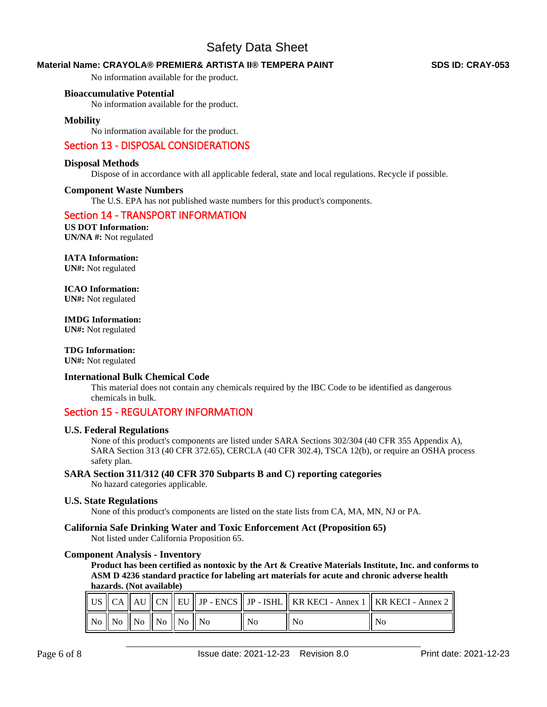### **Material Name: CRAYOLA® PREMIER& ARTISTA II® TEMPERA PAINT SDS ID: CRAY-053**

No information available for the product.

### **Bioaccumulative Potential**

No information available for the product.

### **Mobility**

No information available for the product.

### Section 13 - DISPOSAL CONSIDERATIONS

#### **Disposal Methods**

Dispose of in accordance with all applicable federal, state and local regulations. Recycle if possible.

#### **Component Waste Numbers**

The U.S. EPA has not published waste numbers for this product's components.

### Section 14 - TRANSPORT INFORMATION

**US DOT Information: UN/NA #:** Not regulated

### **IATA Information:**

**UN#:** Not regulated

# **ICAO Information:**

**UN#:** Not regulated

**IMDG Information:** 

**UN#:** Not regulated

## **TDG Information:**

**UN#:** Not regulated

### **International Bulk Chemical Code**

This material does not contain any chemicals required by the IBC Code to be identified as dangerous chemicals in bulk.

### Section 15 - REGULATORY INFORMATION

### **U.S. Federal Regulations**

None of this product's components are listed under SARA Sections 302/304 (40 CFR 355 Appendix A), SARA Section 313 (40 CFR 372.65), CERCLA (40 CFR 302.4), TSCA 12(b), or require an OSHA process safety plan.

#### **SARA Section 311/312 (40 CFR 370 Subparts B and C) reporting categories**

No hazard categories applicable.

### **U.S. State Regulations**

None of this product's components are listed on the state lists from CA, MA, MN, NJ or PA.

#### **California Safe Drinking Water and Toxic Enforcement Act (Proposition 65)**

Not listed under California Proposition 65.

### **Component Analysis - Inventory**

**Product has been certified as nontoxic by the Art & Creative Materials Institute, Inc. and conforms to ASM D 4236 standard practice for labeling art materials for acute and chronic adverse health hazards. (Not available)**

|  |                                                                                                       |  |    |     | US $\parallel$ CA $\parallel$ AU $\parallel$ CN $\parallel$ EU $\parallel$ JP - ENCS $\parallel$ JP - ISHL $\parallel$ KR KECI - Annex 1 $\parallel$ KR KECI - Annex 2 $\parallel$ |
|--|-------------------------------------------------------------------------------------------------------|--|----|-----|------------------------------------------------------------------------------------------------------------------------------------------------------------------------------------|
|  | $\parallel$ No $\parallel$ No $\parallel$ No $\parallel$ No $\parallel$ No $\parallel$ No $\parallel$ |  | Nο | No. | No                                                                                                                                                                                 |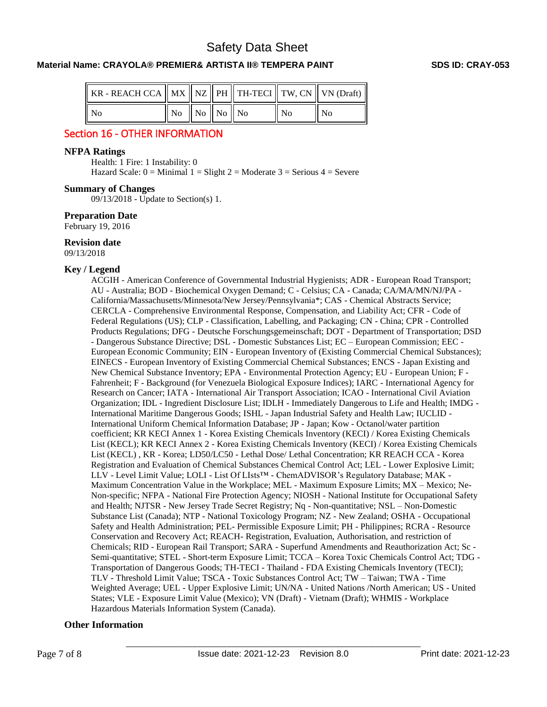### **Material Name: CRAYOLA® PREMIER& ARTISTA II® TEMPERA PAINT SDS ID: CRAY-053**

| KR - REACH CCA $  $ MX $  $ NZ $  $ PH $  $ TH-TECI $  $ TW, CN $  $ VN (Draft) $  $ |                                 |  |                |       |
|--------------------------------------------------------------------------------------|---------------------------------|--|----------------|-------|
| - No                                                                                 | $\ $ No $\ $ No $\ $ No $\ $ No |  | N <sub>0</sub> | ll No |

### Section 16 - OTHER INFORMATION

### **NFPA Ratings**

Health: 1 Fire: 1 Instability: 0 Hazard Scale:  $0 =$  Minimal  $1 =$  Slight  $2 =$  Moderate  $3 =$  Serious  $4 =$  Severe

### **Summary of Changes**

09/13/2018 - Update to Section(s) 1.

### **Preparation Date**

February 19, 2016

### **Revision date**

09/13/2018

### **Key / Legend**

ACGIH - American Conference of Governmental Industrial Hygienists; ADR - European Road Transport; AU - Australia; BOD - Biochemical Oxygen Demand; C - Celsius; CA - Canada; CA/MA/MN/NJ/PA - California/Massachusetts/Minnesota/New Jersey/Pennsylvania\*; CAS - Chemical Abstracts Service; CERCLA - Comprehensive Environmental Response, Compensation, and Liability Act; CFR - Code of Federal Regulations (US); CLP - Classification, Labelling, and Packaging; CN - China; CPR - Controlled Products Regulations; DFG - Deutsche Forschungsgemeinschaft; DOT - Department of Transportation; DSD - Dangerous Substance Directive; DSL - Domestic Substances List; EC – European Commission; EEC - European Economic Community; EIN - European Inventory of (Existing Commercial Chemical Substances); EINECS - European Inventory of Existing Commercial Chemical Substances; ENCS - Japan Existing and New Chemical Substance Inventory; EPA - Environmental Protection Agency; EU - European Union; F - Fahrenheit; F - Background (for Venezuela Biological Exposure Indices); IARC - International Agency for Research on Cancer; IATA - International Air Transport Association; ICAO - International Civil Aviation Organization; IDL - Ingredient Disclosure List; IDLH - Immediately Dangerous to Life and Health; IMDG - International Maritime Dangerous Goods; ISHL - Japan Industrial Safety and Health Law; IUCLID - International Uniform Chemical Information Database; JP - Japan; Kow - Octanol/water partition coefficient; KR KECI Annex 1 - Korea Existing Chemicals Inventory (KECI) / Korea Existing Chemicals List (KECL); KR KECI Annex 2 - Korea Existing Chemicals Inventory (KECI) / Korea Existing Chemicals List (KECL) , KR - Korea; LD50/LC50 - Lethal Dose/ Lethal Concentration; KR REACH CCA - Korea Registration and Evaluation of Chemical Substances Chemical Control Act; LEL - Lower Explosive Limit; LLV - Level Limit Value; LOLI - List Of LIsts™ - ChemADVISOR's Regulatory Database; MAK - Maximum Concentration Value in the Workplace; MEL - Maximum Exposure Limits; MX – Mexico; Ne-Non-specific; NFPA - National Fire Protection Agency; NIOSH - National Institute for Occupational Safety and Health; NJTSR - New Jersey Trade Secret Registry; Nq - Non-quantitative; NSL – Non-Domestic Substance List (Canada); NTP - National Toxicology Program; NZ - New Zealand; OSHA - Occupational Safety and Health Administration; PEL- Permissible Exposure Limit; PH - Philippines; RCRA - Resource Conservation and Recovery Act; REACH- Registration, Evaluation, Authorisation, and restriction of Chemicals; RID - European Rail Transport; SARA - Superfund Amendments and Reauthorization Act; Sc - Semi-quantitative; STEL - Short-term Exposure Limit; TCCA – Korea Toxic Chemicals Control Act; TDG - Transportation of Dangerous Goods; TH-TECI - Thailand - FDA Existing Chemicals Inventory (TECI); TLV - Threshold Limit Value; TSCA - Toxic Substances Control Act; TW – Taiwan; TWA - Time Weighted Average; UEL - Upper Explosive Limit; UN/NA - United Nations /North American; US - United States; VLE - Exposure Limit Value (Mexico); VN (Draft) - Vietnam (Draft); WHMIS - Workplace Hazardous Materials Information System (Canada).

### **Other Information**